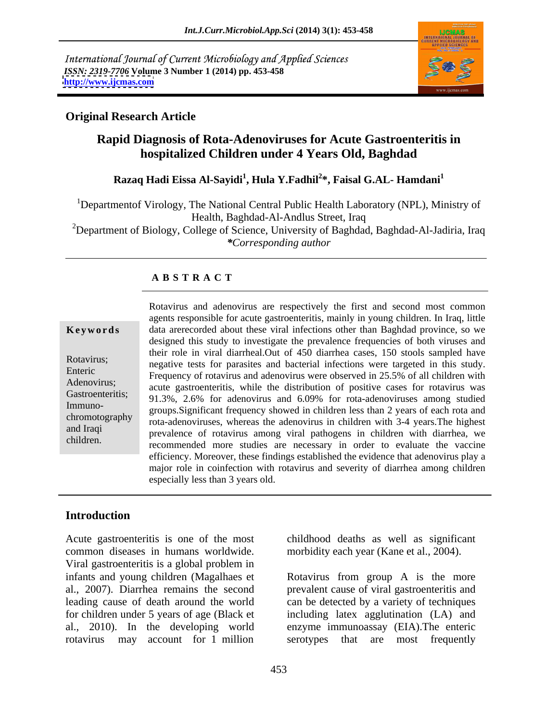International Journal of Current Microbiology and Applied Sciences *ISSN: 2319-7706* **Volume 3 Number 1 (2014) pp. 453-458 <http://www.ijcmas.com>**



### **Original Research Article**

# **Rapid Diagnosis of Rota-Adenoviruses for Acute Gastroenteritis in hospitalized Children under 4 Years Old, Baghdad**

# **Razaq Hadi Eissa Al-Sayidi<sup>1</sup> , Hula Y.Fadhil<sup>2</sup> \*, Faisal G.AL- Hamdani<sup>1</sup>**

<sup>1</sup>Departmentof Virology, The National Central Public Health Laboratory (NPL), Ministry of Health, Baghdad-Al-Andlus Street, Iraq <sup>2</sup>Department of Biology, College of Science, University of Baghdad, Baghdad-Al-Jadiria, Iraq *\*Corresponding author* 

# **A B S T R A C T**

**Keywords** data arerecorded about these viral infections other than Baghdad province, so we Rotavirus;<br>
negative tests for parasites and bacterial infections were targeted in this study. Enteric<br>
Frequency of rotavirus and adenovirus were observed in 25.5% of all children with Adenovirus;<br>
acute gastroenteritis, while the distribution of positive cases for rotavirus was Gastroenteritis; 91.3%, 2.6% for adenovirus and 6.09% for rota-adenoviruses among studied Immuno-<br>groups.Significant frequency showed in children less than 2 years of each rota and chromotography rota-adenoviruses, whereas the adenovirus in children with 3-4 years.The highest and Iraqi prevalence of rotavirus among viral pathogens in children with diarrhea, we children.<br>
recommended more studies are necessary in order to evaluate the vaccine Rotavirus and adenovirus are respectively the first and second most common agents responsible for acute gastroenteritis, mainly in young children. In Iraq, little designed this study to investigate the prevalence frequencies of both viruses and their role in viral diarrheal.Out of 450 diarrhea cases, 150 stools sampled have efficiency. Moreover, these findings established the evidence that adenovirus play a major role in coinfection with rotavirus and severity of diarrhea among children especially less than 3 years old.

### **Introduction**

Acute gastroenteritis is one of the most common diseases in humans worldwide. Viral gastroenteritis is a global problem in infants and young children (Magalhaes et Rotavirus from group A is the more al., 2007). Diarrhea remains the second prevalent cause of viral gastroenteritis and leading cause of death around the world can be detected by a variety of techniques for children under 5 years of age (Black et including latex agglutination (LA) and al., 2010). In the developing world enzyme immunoassay (EIA).The enteric rotavirus may account for 1 million

childhood deaths as well as significant morbidity each year (Kane et al., 2004).

serotypes that are most frequently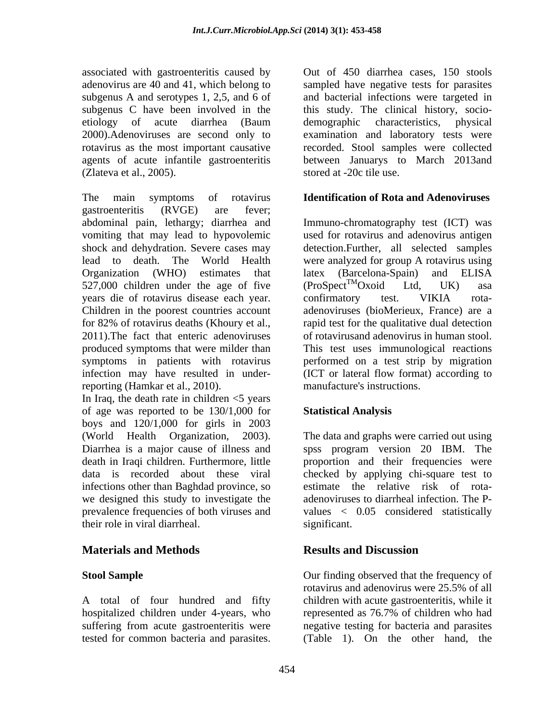associated with gastroenteritis caused by Out of 450 diarrhea cases, 150 stools adenovirus are 40 and 41, which belong to sampled have negative tests for parasites subgenus A and serotypes 1, 2,5, and 6 of and bacterial infections were targeted in subgenus C have been involved in the this study. The clinical history, socio etiology of acute diarrhea (Baum demographic characteristics, physical 2000).Adenoviruses are second only to examination and laboratory tests were rotavirus as the most important causative recorded. Stool samples were collected agents of acute infantile gastroenteritis between Januarys to March 2013and (Zlateva et al., 2005).

The main symptoms of rotavirus **Identification of Rota and Adenoviruses** gastroenteritis (RVGE) are fever; abdominal pain, lethargy; diarrhea and Immuno-chromatography test (ICT) was vomiting that may lead to hypovolemic used for rotavirus and adenovirus antigen shock and dehydration. Severe cases may lead to death. The World Health were analyzed for group A rotavirus using Organization (WHO) estimates that latex (Barcelona-Spain) and ELISA 527,000 children under the age of five  $(Proof^{\text{TM}}Oxoid$  Ltd, UK) asa years die of rotavirus disease each year. Children in the poorest countries account for 82% of rotavirus deaths (Khoury et al., rapid test for the qualitative dual detection 2011).The fact that enteric adenoviruses of rotavirusand adenovirus in human stool. produced symptoms that were milder than This test uses immunological reactions symptoms in patients with rotavirus performed on a test strip by migration infection may have resulted in under-(ICT or lateral flow format) according to reporting (Hamkar et al., 2010). associated with gate one of the common bacteria and parasites and one of 450 diarrhea cases, 150 stools<br>tested for common bacteria and parameteria and parameteria increases the<br>stead for common bacteria and parameteria in

In Iraq, the death rate in children  $\leq$  years of age was reported to be 130/1,000 for boys and 120/1,000 for girls in 2003 (World Health Organization, 2003). The data and graphs were carried out using Diarrhea is a major cause of illness and spss program version 20 IBM. The death in Iraqi children. Furthermore, little proportion and their frequencies were data is recorded about these viral checked by applying chi-square test to infections other than Baghdad province, so we designed this study to investigate the prevalence frequencies of both viruses and values < 0.05 considered statistically their role in viral diarrheal.

# **Materials and Methods**

A total of four hundred and fifty hospitalized children under 4-years, who represented as 76.7% of children who had suffering from acute gastroenteritis were

stored at -20c tile use.

detection.Further, all selected samples latex (Barcelona-Spain) and ELISA  $(Proof<sup>TM</sup>Oxoid$  Ltd, UK) asa confirmatory test. VIKIA rota adenoviruses (bioMerieux, France) are a manufacture's instructions.

# **Statistical Analysis**

estimate the relative risk of rota adenoviruses to diarrheal infection. The P significant.

# **Results and Discussion**

**Stool Sample Stool Sample Stool Sample Our finding observed that the frequency of** rotavirus and adenovirus were 25.5% of all children with acute gastroenteritis, while it represented as 76.7% of children who had negative testing for bacteria and parasites (Table 1). On the other hand, the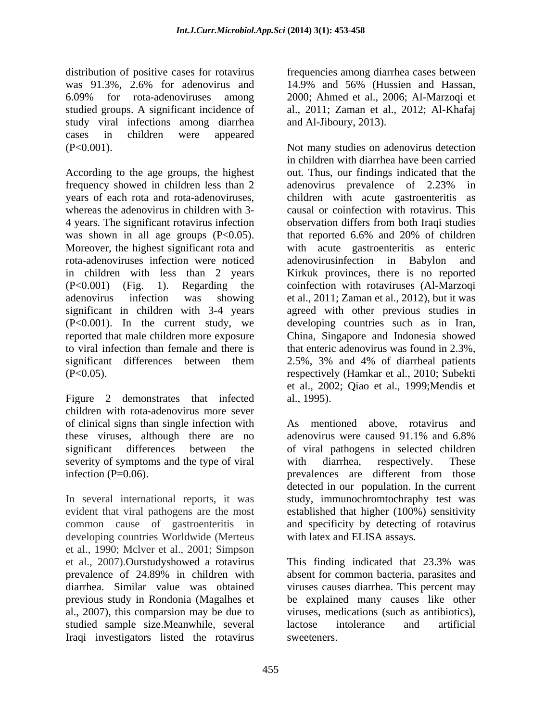distribution of positive cases for rotavirus frequencies among diarrhea cases between was 91.3%, 2.6% for adenovirus and 14.9% and 56% (Hussien and Hassan, 6.09% for rota-adenoviruses among studied groups. A significant incidence of al., 2011; Zaman et al., 2012; Al-Khafaj study viral infections among diarrhea cases in children were appeared

frequency showed in children less than 2 adenovirus prevalence of 2.23% in years of each rota and rota-adenoviruses, children with acute gastroenteritis as whereas the adenovirus in children with 3- causal or coinfection with rotavirus. This 4 years. The significant rotavirus infection observation differs from both Iraqi studies was shown in all age groups (P<0.05). that reported 6.6% and 20% of children Moreover, the highest significant rota and rota-adenoviruses infection were noticed in children with less than 2 years Kirkuk provinces, there is no reported (P<0.001) (Fig. 1). Regarding the coinfection with rotaviruses (Al-Marzoqi adenovirus infection was showing et al., 2011; Zaman et al., 2012), but it was significant in children with 3-4 years agreed with other previous studies in (P<0.001). In the current study, we developing countries such as in Iran, reported that male children more exposure China, Singapore and Indonesia showed to viral infection than female and there is that enteric adenovirus was found in 2.3%, significant differences between them 2.5%, 3% and 4% of diarrheal patients (P<0.05). respectively (Hamkar et al., 2010; Subekti

children with rota-adenovirus more sever of clinical signs than single infection with these viruses, although there are no adenovirus were caused 91.1% and 6.8% significant differences between the of viral pathogens in selected children severity of symptoms and the type of viral with diarrhea, respectively. These infection (P=0.06).<br>prevalences are different from those

In several international reports, it was study, immunochromtochraphy test was evident that viral pathogens are the most established that higher (100%) sensitivity common cause of gastroenteritis in and specificity by detecting of rotavirus developing countries Worldwide (Merteus et al., 1990; Mclver et al., 2001; Simpson et al., 2007).Ourstudyshowed a rotavirus prevalence of 24.89% in children with absent for common bacteria, parasites and diarrhea. Similar value was obtained viruses causes diarrhea. This percent may previous study in Rondonia (Magalhes et be explained many causes like other al., 2007), this comparsion may be due to viruses, medications (such as antibiotics), studied sample size.Meanwhile, several Iraqi investigators listed the rotavirus

2000; Ahmed et al., 2006; Al-Marzoqi et and Al-Jiboury, 2013).

(P<0.001). Not many studies on adenovirus detection in children with diarrhea have been carried<br>According to the age groups, the highest out. Thus, our findings indicated that the et al., 2002; Qiao et al., 1999; Mendis et<br>Figure 2 demonstrates that infected al., 1995). in children with diarrhea have been carried out. Thus, our findings indicated that the adenovirus prevalence of 2.23% in with acute gastroenteritis as enteric adenovirus infection in Babylon 2.5%, 3% and 4% of diarrheal patients et al., 2002; Qiao et al., 1999;Mendis et al., 1995).

> prevalences are different from those As mentioned above, rotavirus and adenovirus were caused 91.1% and 6.8% with diarrhea, respectively. These prevalences are different from those detected in our population. In the current with latex and ELISA assays.

This finding indicated that 23.3% was absent for common bacteria, parasites and lactose intolerance and artificial sweeteners.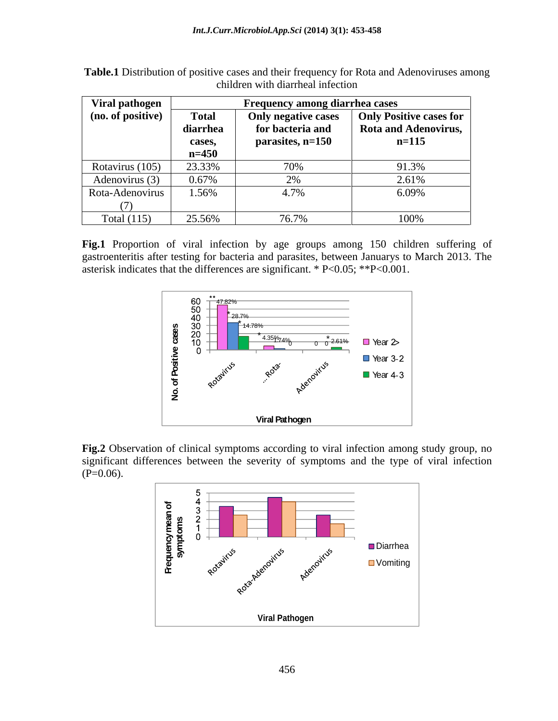| Viral pathogen    | <b>Frequency among diarrhea cases</b> |                     |                                |
|-------------------|---------------------------------------|---------------------|--------------------------------|
| (no. of positive) | Total                                 | Only negative cases | <b>Only Positive cases for</b> |
|                   | diarrhea                              | for bacteria and    | Rota and Adenovirus,           |
|                   | cases,                                | parasites, n=150    | $n=115$                        |
|                   | $n = 450$                             |                     |                                |
| Rotavirus (105)   | 23.33%                                | 70%                 | 91.3%                          |
| Adenovirus (3)    | 0.67%                                 |                     | 2.6102<br>$\angle .017$        |
| Rota-Adenovirus   | 1.56%                                 | 4.7%                | 6.09%                          |
|                   |                                       |                     |                                |
| Total $(115)$     | 25.56%                                | 76.7%               | 100%                           |

**Table.1** Distribution of positive cases and their frequency for Rota and Adenoviruses among children with diarrheal infection

**Fig.1** Proportion of viral infection by age groups among 150 children suffering of gastroenteritis after testing for bacteria and parasites, between Januarys to March 2013. The asterisk indicates that the differences are significant. \* P<0.05; \*\*P<0.001.



**Fig.2** Observation of clinical symptoms according to viral infection among study group, no significant differences between the severity of symptoms and the type of viral infection  $(P=0.06)$ .

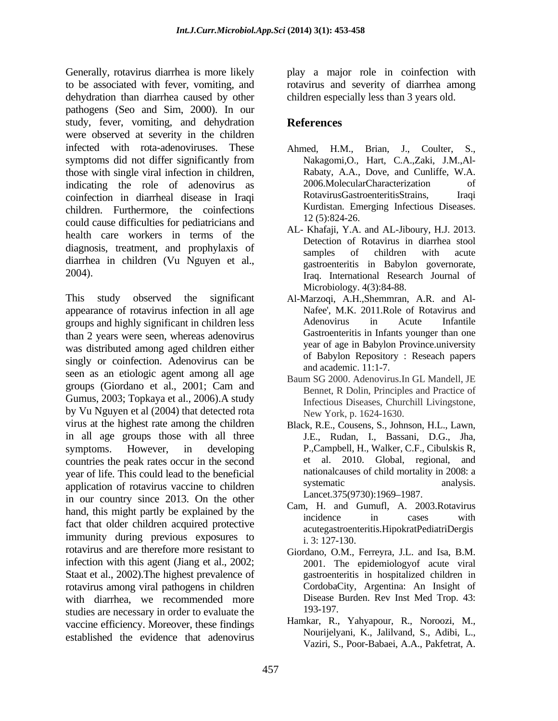Generally, rotavirus diarrhea is more likely play a major role in coinfection with to be associated with fever, vomiting, and rotavirus and severity of diarrhea among dehydration than diarrhea caused by other pathogens (Seo and Sim, 2000). In our study, fever, vomiting, and dehydration **References** were observed at severity in the children infected with rota-adenoviruses. These Ahmed, H.M., Brian, J., Coulter, S., symptoms did not differ significantly from those with single viral infection in children, indicating the role of adenovirus as a 2006.MolecularCharacterization of coinfection in diarrheal disease in Iraqi coinfection in diarrheal disease in Iraqi children. Furthermore, the coinfections Kurdistan. Encounter the coinfections of the coinfection of the coinfection of the state of the coinfection of the state of the coinfection of the state of the state of the state of could cause difficulties for pediatricians and health care workers in terms of the diagnosis, treatment, and prophylaxis of samples of children with acute diarrhea in children (Vu Nguyen et al.,

This study observed the significant Al-Marzoqi, A.H.,Shemmran, A.R. and Al appearance of rotavirus infection in all age Mafee', M.K. 2011. Role of Rotavirus and prouns and highly significant in children less Adenovirus in Acute Infantile groups and highly significant in children less than 2 years were seen, whereas adenovirus was distributed among aged children either singly or coinfection. Adenovirus can be seen as an etiologic agent among all age groups (Giordano et al., 2001; Cam and Gumus, 2003; Topkaya et al., 2006).A study by Vu Nguyen et al (2004) that detected rota virus at the highest rate among the children Black, R.E., Cousens, S., Johnson, H.L., Lawn, in all age groups those with all three symptoms. However, in developing P.,Campbell, H., Walker, C.F., Cibulskis R, countries the peak rates occur in the second year of life. This could lead to the beneficial mational causes of child mortality in 2008: a<br>systematic manalysis. application of rotavirus vaccine to children in our country since 2013. On the other hand, this might partly be explained by the the call, i. and Guinan, A. 2005. Rotavitus incidence in fact that older children acquired protective immunity during previous exposures to  $\frac{1}{1}$ , 3: 127-130. rotavirus and are therefore more resistant to infection with this agent (Jiang et al., 2002; Staat et al., 2002).The highest prevalence of rotavirus among viral pathogens in children with diarrhea, we recommended more Disease I<br>studies are necessary in order to evaluate the 193-197. studies are necessary in order to evaluate the vaccine efficiency. Moreover, these findings established the evidence that adenovirus

children especially less than 3 years old.

# **References**

- Brian, J., Coulter, Nakagomi,O., Hart, C.A.,Zaki, J.M.,Al- Rabaty, A.A., Dove, and Cunliffe, W.A. 2006.MolecularCharacterization RotavirusGastroenteritisStrains, Kurdistan. Emerging Infectious Diseases. 12 (5):824-26.
- 2004). Iraq. International Research Journal of AL- Khafaji, Y.A. and AL-Jiboury, H.J. 2013. Detection of Rotavirus in diarrhea stool samples of children with acute gastroenteritis in Babylon governorate, Microbiology. 4(3):84-88.
	- Nafee', M.K. 2011.Role of Rotavirus and Adenovirus in Acute Infantile Gastroenteritis in Infants younger than one year of age in Babylon Province.university of Babylon Repository : Reseach papers and academic. 11:1-7.
	- Baum SG 2000. Adenovirus.In GL Mandell, JE Bennet, R Dolin, Principles and Practice of Infectious Diseases, Churchill Livingstone, New York, p. 1624-1630.
	- J.E., Rudan, I., Bassani, D.G., Jha, et al. 2010. Global, regional, and nationalcauses of child mortality in 2008: a systematic analysis. Lancet.375(9730):1969-1987.
	- Cam, H. and Gumufl, A. 2003.Rotavirus incidence in cases with acutegastroenteritis.HipokratPediatriDergis i. 3: 127-130.
	- Giordano, O.M., Ferreyra, J.L. and Isa, B.M. 2001. The epidemiologyof acute viral gastroenteritis in hospitalized children in CordobaCity, Argentina: An Insight of Disease Burden. Rev Inst Med Trop. 43: 193-197.
	- Hamkar, R., Yahyapour, R., Noroozi, M., Nourijelyani, K., Jalilvand, S., Adibi, L., Vaziri, S., Poor-Babaei, A.A., Pakfetrat, A.